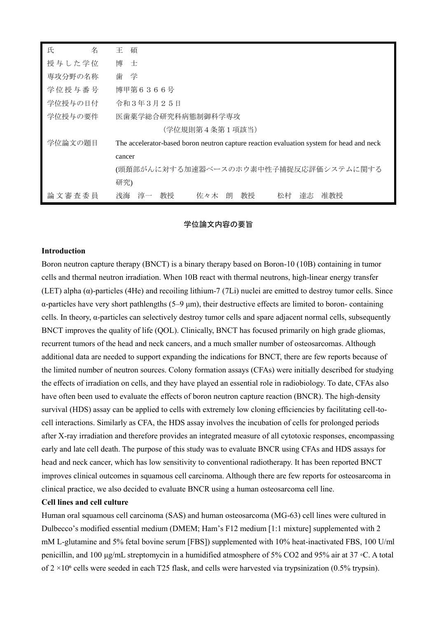| 氏<br>名  | 碩<br>Ŧ.                                                                                  |
|---------|------------------------------------------------------------------------------------------|
| 授与した学位  | 博<br>士                                                                                   |
| 専攻分野の名称 | 歯学                                                                                       |
| 学位授与番号  | 博甲第6366号                                                                                 |
| 学位授与の日付 | 令和3年3月25日                                                                                |
| 学位授与の要件 | 医歯薬学総合研究科病態制御科学専攻                                                                        |
|         | (学位規則第4条第1項該当)                                                                           |
| 学位論文の題目 | The accelerator-based boron neutron capture reaction evaluation system for head and neck |
|         | cancer                                                                                   |
|         | (頭頚部がんに対する加速器ベースのホウ素中性子捕捉反応評価システムに関する                                                    |
|         | 研究)                                                                                      |
| 論文審査委員  | 准教授<br>淳一<br>教授<br>佐々木 朗<br>教授<br>達志<br>浅海<br>松村                                         |

### 学位論文内容の要旨

#### **Introduction**

Boron neutron capture therapy (BNCT) is a binary therapy based on Boron-10 (10B) containing in tumor cells and thermal neutron irradiation. When 10B react with thermal neutrons, high-linear energy transfer (LET) alpha (α)-particles (4He) and recoiling lithium-7 (7Li) nuclei are emitted to destroy tumor cells. Since α-particles have very short pathlengths (5–9 μm), their destructive effects are limited to boron- containing cells. In theory, α-particles can selectively destroy tumor cells and spare adjacent normal cells, subsequently BNCT improves the quality of life (QOL). Clinically, BNCT has focused primarily on high grade gliomas, recurrent tumors of the head and neck cancers, and a much smaller number of osteosarcomas. Although additional data are needed to support expanding the indications for BNCT, there are few reports because of the limited number of neutron sources. Colony formation assays (CFAs) were initially described for studying the effects of irradiation on cells, and they have played an essential role in radiobiology. To date, CFAs also have often been used to evaluate the effects of boron neutron capture reaction (BNCR). The high-density survival (HDS) assay can be applied to cells with extremely low cloning efficiencies by facilitating cell-tocell interactions. Similarly as CFA, the HDS assay involves the incubation of cells for prolonged periods after X-ray irradiation and therefore provides an integrated measure of all cytotoxic responses, encompassing early and late cell death. The purpose of this study was to evaluate BNCR using CFAs and HDS assays for head and neck cancer, which has low sensitivity to conventional radiotherapy. It has been reported BNCT improves clinical outcomes in squamous cell carcinoma. Although there are few reports for osteosarcoma in clinical practice, we also decided to evaluate BNCR using a human osteosarcoma cell line.

### **Cell lines and cell culture**

Human oral squamous cell carcinoma (SAS) and human osteosarcoma (MG-63) cell lines were cultured in Dulbecco's modified essential medium (DMEM; Ham's F12 medium [1:1 mixture] supplemented with 2 mM L-glutamine and 5% fetal bovine serum [FBS]) supplemented with 10% heat-inactivated FBS, 100 U/ml penicillin, and 100 μg/mL streptomycin in a humidified atmosphere of 5% CO2 and 95% air at 37 ◦C. A total of  $2 \times 10^6$  cells were seeded in each T25 flask, and cells were harvested via trypsinization (0.5% trypsin).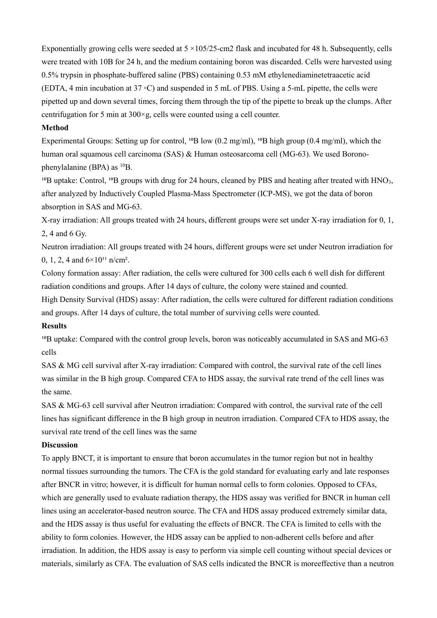Exponentially growing cells were seeded at  $5 \times 105/25$ -cm2 flask and incubated for 48 h. Subsequently, cells were treated with 10B for 24 h, and the medium containing boron was discarded. Cells were harvested using 0.5% trypsin in phosphate-buffered saline (PBS) containing 0.53 mM ethylenediaminetetraacetic acid (EDTA, 4 min incubation at 37 ◦C) and suspended in 5 mL of PBS. Using a 5-mL pipette, the cells were pipetted up and down several times, forcing them through the tip of the pipette to break up the clumps. After centrifugation for 5 min at 300×g, cells were counted using a cell counter.

### **Method**

Experimental Groups: Setting up for control, <sup>10</sup>B low (0.2 mg/ml), <sup>10</sup>B high group (0.4 mg/ml), which the human oral squamous cell carcinoma (SAS) & Human osteosarcoma cell (MG-63). We used Boronophenylalanine (BPA) as  $^{10}B$ .

<sup>10</sup>B uptake: Control, <sup>10</sup>B groups with drug for 24 hours, cleaned by PBS and heating after treated with HNO<sub>3</sub>, after analyzed by Inductively Coupled Plasma-Mass Spectrometer (ICP-MS), we got the data of boron absorption in SAS and MG-63.

X-ray irradiation: All groups treated with 24 hours, different groups were set under X-ray irradiation for 0, 1, 2, 4 and 6 Gy.

Neutron irradiation: All groups treated with 24 hours, different groups were set under Neutron irradiation for 0, 1, 2, 4 and  $6 \times 10^{11}$  n/cm<sup>2</sup>.

Colony formation assay: After radiation, the cells were cultured for 300 cells each 6 well dish for different radiation conditions and groups. After 14 days of culture, the colony were stained and counted.

High Density Survival (HDS) assay: After radiation, the cells were cultured for different radiation conditions and groups. After 14 days of culture, the total number of surviving cells were counted.

## **Results**

<sup>10</sup>B uptake: Compared with the control group levels, boron was noticeably accumulated in SAS and MG-63 cells

SAS & MG cell survival after X-ray irradiation: Compared with control, the survival rate of the cell lines was similar in the B high group. Compared CFA to HDS assay, the survival rate trend of the cell lines was the same.

SAS & MG-63 cell survival after Neutron irradiation: Compared with control, the survival rate of the cell lines has significant difference in the B high group in neutron irradiation. Compared CFA to HDS assay, the survival rate trend of the cell lines was the same

### **Discussion**

To apply BNCT, it is important to ensure that boron accumulates in the tumor region but not in healthy normal tissues surrounding the tumors. The CFA is the gold standard for evaluating early and late responses after BNCR in vitro; however, it is difficult for human normal cells to form colonies. Opposed to CFAs, which are generally used to evaluate radiation therapy, the HDS assay was verified for BNCR in human cell lines using an accelerator-based neutron source. The CFA and HDS assay produced extremely similar data, and the HDS assay is thus useful for evaluating the effects of BNCR. The CFA is limited to cells with the ability to form colonies. However, the HDS assay can be applied to non-adherent cells before and after irradiation. In addition, the HDS assay is easy to perform via simple cell counting without special devices or materials, similarly as CFA. The evaluation of SAS cells indicated the BNCR is moreeffective than a neutron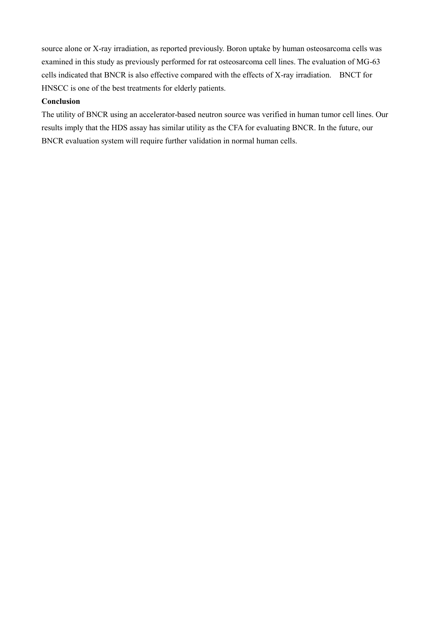source alone or X-ray irradiation, as reported previously. Boron uptake by human osteosarcoma cells was examined in this study as previously performed for rat osteosarcoma cell lines. The evaluation of MG-63 cells indicated that BNCR is also effective compared with the effects of X-ray irradiation. BNCT for HNSCC is one of the best treatments for elderly patients.

# **Conclusion**

The utility of BNCR using an accelerator-based neutron source was verified in human tumor cell lines. Our results imply that the HDS assay has similar utility as the CFA for evaluating BNCR. In the future, our BNCR evaluation system will require further validation in normal human cells.